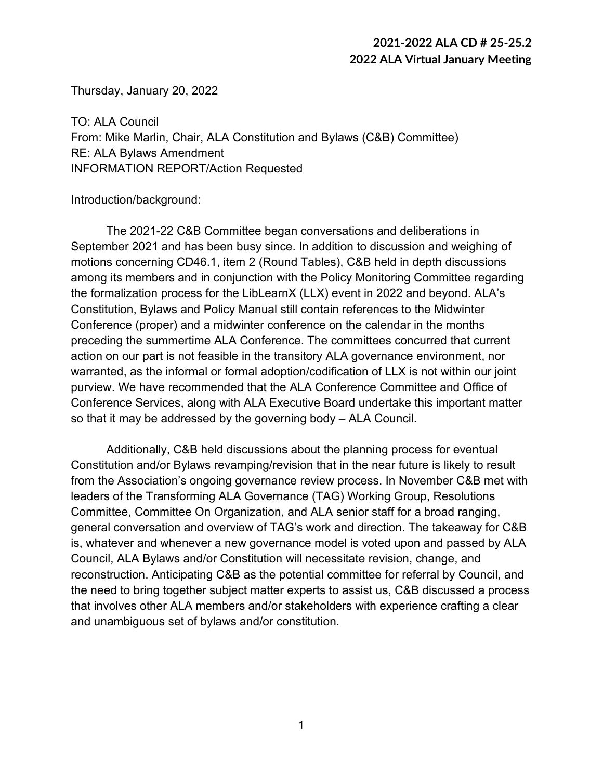Thursday, January 20, 2022

TO: ALA Council From: Mike Marlin, Chair, ALA Constitution and Bylaws (C&B) Committee) RE: ALA Bylaws Amendment INFORMATION REPORT/Action Requested

Introduction/background:

The 2021-22 C&B Committee began conversations and deliberations in September 2021 and has been busy since. In addition to discussion and weighing of motions concerning CD46.1, item 2 (Round Tables), C&B held in depth discussions among its members and in conjunction with the Policy Monitoring Committee regarding the formalization process for the LibLearnX (LLX) event in 2022 and beyond. ALA's Constitution, Bylaws and Policy Manual still contain references to the Midwinter Conference (proper) and a midwinter conference on the calendar in the months preceding the summertime ALA Conference. The committees concurred that current action on our part is not feasible in the transitory ALA governance environment, nor warranted, as the informal or formal adoption/codification of LLX is not within our joint purview. We have recommended that the ALA Conference Committee and Office of Conference Services, along with ALA Executive Board undertake this important matter so that it may be addressed by the governing body – ALA Council.

Additionally, C&B held discussions about the planning process for eventual Constitution and/or Bylaws revamping/revision that in the near future is likely to result from the Association's ongoing governance review process. In November C&B met with leaders of the Transforming ALA Governance (TAG) Working Group, Resolutions Committee, Committee On Organization, and ALA senior staff for a broad ranging, general conversation and overview of TAG's work and direction. The takeaway for C&B is, whatever and whenever a new governance model is voted upon and passed by ALA Council, ALA Bylaws and/or Constitution will necessitate revision, change, and reconstruction. Anticipating C&B as the potential committee for referral by Council, and the need to bring together subject matter experts to assist us, C&B discussed a process that involves other ALA members and/or stakeholders with experience crafting a clear and unambiguous set of bylaws and/or constitution.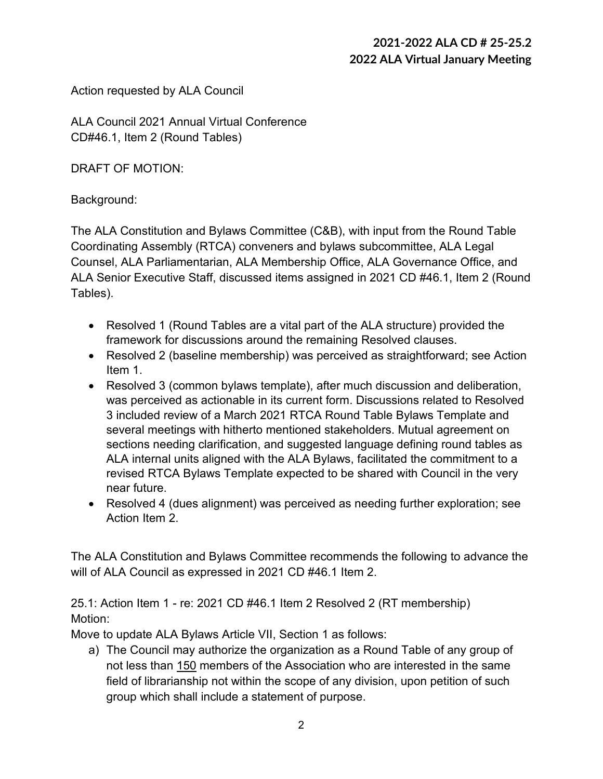Action requested by ALA Council

ALA Council 2021 Annual Virtual Conference CD#46.1, Item 2 (Round Tables)

DRAFT OF MOTION:

### Background:

The ALA Constitution and Bylaws Committee (C&B), with input from the Round Table Coordinating Assembly (RTCA) conveners and bylaws subcommittee, ALA Legal Counsel, ALA Parliamentarian, ALA Membership Office, ALA Governance Office, and ALA Senior Executive Staff, discussed items assigned in 2021 CD #46.1, Item 2 (Round Tables).

- Resolved 1 (Round Tables are a vital part of the ALA structure) provided the framework for discussions around the remaining Resolved clauses.
- Resolved 2 (baseline membership) was perceived as straightforward; see Action Item 1.
- Resolved 3 (common bylaws template), after much discussion and deliberation, was perceived as actionable in its current form. Discussions related to Resolved 3 included review of a March 2021 RTCA Round Table Bylaws Template and several meetings with hitherto mentioned stakeholders. Mutual agreement on sections needing clarification, and suggested language defining round tables as ALA internal units aligned with the ALA Bylaws, facilitated the commitment to a revised RTCA Bylaws Template expected to be shared with Council in the very near future.
- Resolved 4 (dues alignment) was perceived as needing further exploration; see Action Item 2.

The ALA Constitution and Bylaws Committee recommends the following to advance the will of ALA Council as expressed in 2021 CD #46.1 Item 2.

25.1: Action Item 1 - re: 2021 CD #46.1 Item 2 Resolved 2 (RT membership) Motion:

Move to update ALA Bylaws Article VII, Section 1 as follows:

a) The Council may authorize the organization as a Round Table of any group of not less than 150 members of the Association who are interested in the same field of librarianship not within the scope of any division, upon petition of such group which shall include a statement of purpose.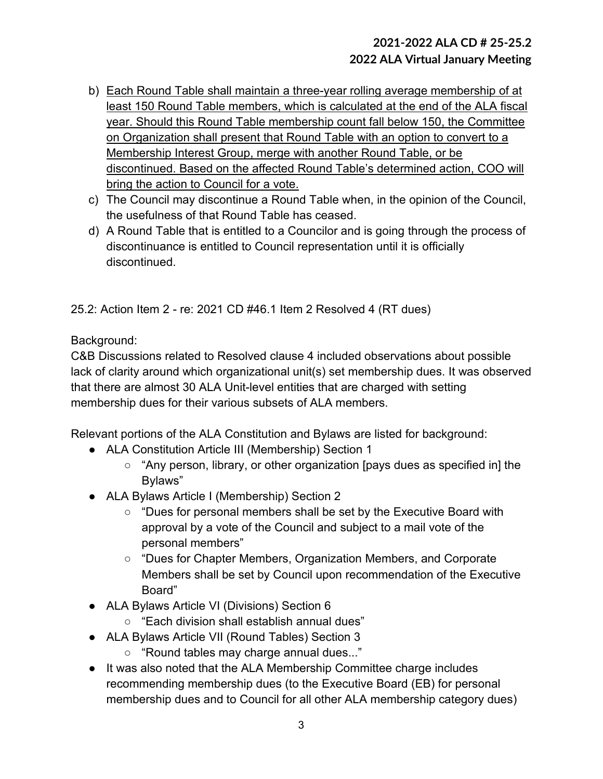- b) Each Round Table shall maintain a three-year rolling average membership of at least 150 Round Table members, which is calculated at the end of the ALA fiscal year. Should this Round Table membership count fall below 150, the Committee on Organization shall present that Round Table with an option to convert to a Membership Interest Group, merge with another Round Table, or be discontinued. Based on the affected Round Table's determined action, COO will bring the action to Council for a vote.
- c) The Council may discontinue a Round Table when, in the opinion of the Council, the usefulness of that Round Table has ceased.
- d) A Round Table that is entitled to a Councilor and is going through the process of discontinuance is entitled to Council representation until it is officially discontinued.

25.2: Action Item 2 - re: 2021 CD #46.1 Item 2 Resolved 4 (RT dues)

Background:

C&B Discussions related to Resolved clause 4 included observations about possible lack of clarity around which organizational unit(s) set membership dues. It was observed that there are almost 30 ALA Unit-level entities that are charged with setting membership dues for their various subsets of ALA members.

Relevant portions of the ALA Constitution and Bylaws are listed for background:

- ALA Constitution Article III (Membership) Section 1
	- "Any person, library, or other organization [pays dues as specified in] the Bylaws"
- ALA Bylaws Article I (Membership) Section 2
	- "Dues for personal members shall be set by the Executive Board with approval by a vote of the Council and subject to a mail vote of the personal members"
	- "Dues for Chapter Members, Organization Members, and Corporate Members shall be set by Council upon recommendation of the Executive Board"
- ALA Bylaws Article VI (Divisions) Section 6
	- "Each division shall establish annual dues"
- ALA Bylaws Article VII (Round Tables) Section 3
	- "Round tables may charge annual dues..."
- It was also noted that the ALA Membership Committee charge includes recommending membership dues (to the Executive Board (EB) for personal membership dues and to Council for all other ALA membership category dues)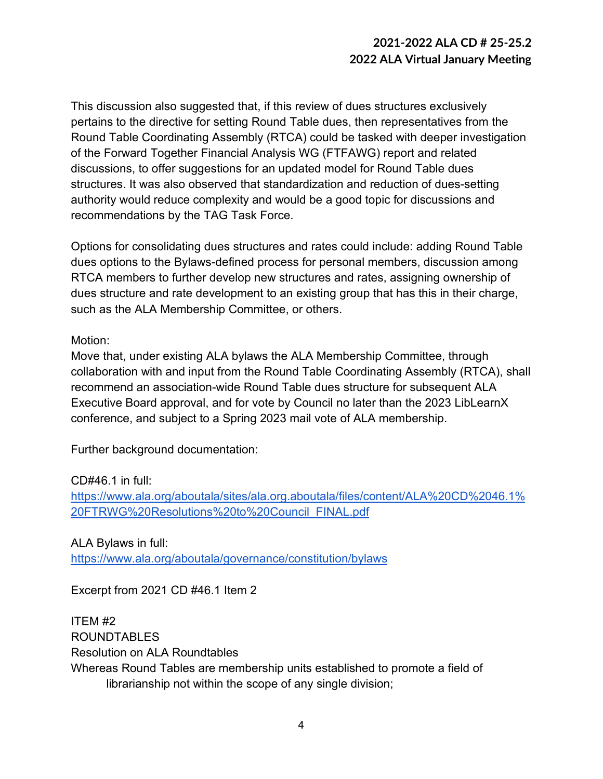This discussion also suggested that, if this review of dues structures exclusively pertains to the directive for setting Round Table dues, then representatives from the Round Table Coordinating Assembly (RTCA) could be tasked with deeper investigation of the Forward Together Financial Analysis WG (FTFAWG) report and related discussions, to offer suggestions for an updated model for Round Table dues structures. It was also observed that standardization and reduction of dues-setting authority would reduce complexity and would be a good topic for discussions and recommendations by the TAG Task Force.

Options for consolidating dues structures and rates could include: adding Round Table dues options to the Bylaws-defined process for personal members, discussion among RTCA members to further develop new structures and rates, assigning ownership of dues structure and rate development to an existing group that has this in their charge, such as the ALA Membership Committee, or others.

#### Motion:

Move that, under existing ALA bylaws the ALA Membership Committee, through collaboration with and input from the Round Table Coordinating Assembly (RTCA), shall recommend an association-wide Round Table dues structure for subsequent ALA Executive Board approval, and for vote by Council no later than the 2023 LibLearnX conference, and subject to a Spring 2023 mail vote of ALA membership.

Further background documentation:

CD#46.1 in full:

[https://www.ala.org/aboutala/sites/ala.org.aboutala/files/content/ALA%20CD%2046.1%](https://www.ala.org/aboutala/sites/ala.org.aboutala/files/content/ALA%20CD%2046.1%20FTRWG%20Resolutions%20to%20Council_FINAL.pdf) [20FTRWG%20Resolutions%20to%20Council\\_FINAL.pdf](https://www.ala.org/aboutala/sites/ala.org.aboutala/files/content/ALA%20CD%2046.1%20FTRWG%20Resolutions%20to%20Council_FINAL.pdf)

ALA Bylaws in full: <https://www.ala.org/aboutala/governance/constitution/bylaws>

Excerpt from 2021 CD #46.1 Item 2

ITEM #2 ROUNDTABLES Resolution on ALA Roundtables Whereas Round Tables are membership units established to promote a field of librarianship not within the scope of any single division;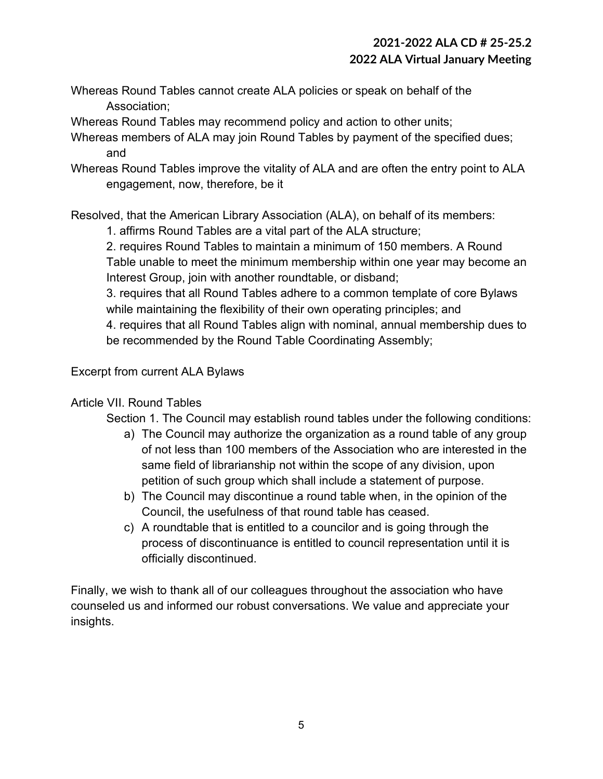Whereas Round Tables cannot create ALA policies or speak on behalf of the Association;

Whereas Round Tables may recommend policy and action to other units;

- Whereas members of ALA may join Round Tables by payment of the specified dues; and
- Whereas Round Tables improve the vitality of ALA and are often the entry point to ALA engagement, now, therefore, be it

Resolved, that the American Library Association (ALA), on behalf of its members:

1. affirms Round Tables are a vital part of the ALA structure;

2. requires Round Tables to maintain a minimum of 150 members. A Round Table unable to meet the minimum membership within one year may become an Interest Group, join with another roundtable, or disband;

3. requires that all Round Tables adhere to a common template of core Bylaws while maintaining the flexibility of their own operating principles; and

4. requires that all Round Tables align with nominal, annual membership dues to be recommended by the Round Table Coordinating Assembly;

#### Excerpt from current ALA Bylaws

### Article VII. Round Tables

- Section 1. The Council may establish round tables under the following conditions:
	- a) The Council may authorize the organization as a round table of any group of not less than 100 members of the Association who are interested in the same field of librarianship not within the scope of any division, upon petition of such group which shall include a statement of purpose.
	- b) The Council may discontinue a round table when, in the opinion of the Council, the usefulness of that round table has ceased.
	- c) A roundtable that is entitled to a councilor and is going through the process of discontinuance is entitled to council representation until it is officially discontinued.

Finally, we wish to thank all of our colleagues throughout the association who have counseled us and informed our robust conversations. We value and appreciate your insights.